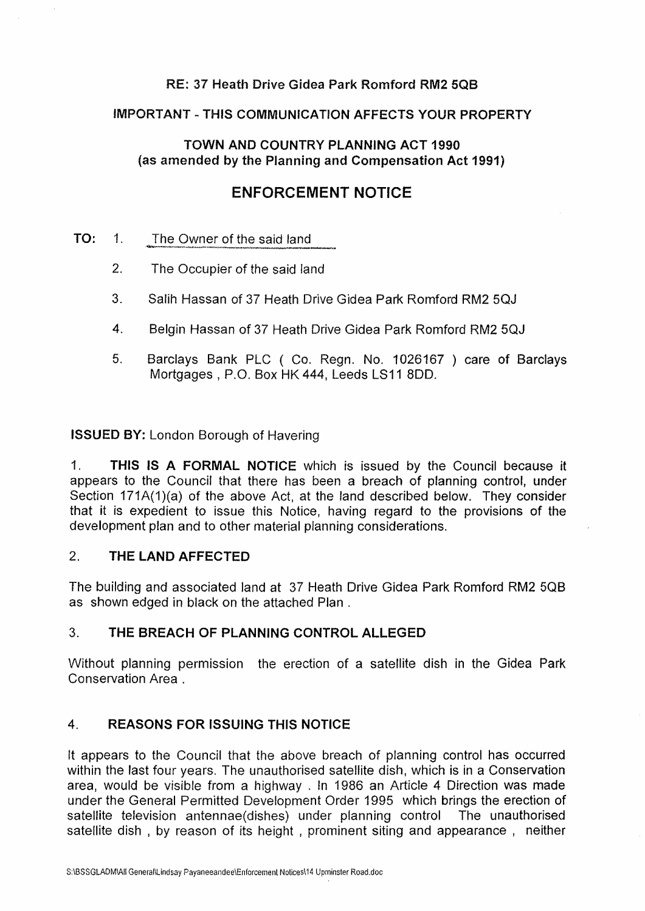### **RE: 37 Heath Drive Gidea Park Romford RM2 5QB**

#### **IMPORTANT-THIS COMMUNICATION AFFECTS YOUR PROPERTY**

### **TOWN AND COUNTRY PLANNING ACT 1990 (as amended by the Planning and Compensation Act 1991)**

# **ENFORCEMENT NOTICE**

- **TO:** 1. The Owner of the said land
	- 2. The Occupier of the said land
	- 3. Salih Hassan of 37 Heath Drive Gidea Park Romford RM2 5QJ
	- 4. Belgin Hassan of 37 Heath Drive Gidea Park Romford RM2 5QJ
	- 5. Barclays Bank PLC ( Co. Regn. No. 1026167 ) care of Barclays Mortgages , P.O. Box HK 444, Leeds LS11 8D0,

**ISSUED BY:** London Borough of Havering

1. **THIS IS A FORMAL NOTICE** which is issued by the Council because it appears to the Council that there has been a breach of planning control, under Section 171A(1)(a) of the above Act, at the land described below. They consider that it is expedient to issue this Notice, having regard to the provisions of the development plan and to other material planning considerations.

### 2. **THE LAND AFFECTED**

The building and associated land at 37 Heath Drive Gidea Park Romford RM2 5QB as shown edged in black on the attached Plan .

### 3. **THE BREACH OF PLANNING CONTROL ALLEGED**

Without planning permission the erection of a satellite dish in the Gidea Park Conservation Area .

## **4. REASONS FOR ISSUING THIS NOTICE**

It appears to the Council that the above breach of planning control has occurred within the last four years. The unauthorised satellite dish, which is in a Conservation area, would be visible from a highway . In 1986 an Article 4 Direction was made under the General Permitted Development Order 1995 which brings the erection of satellite television antennae(dishes) under planning control The unauthorised satellite dish , by reason of its height , prominent siting and appearance , neither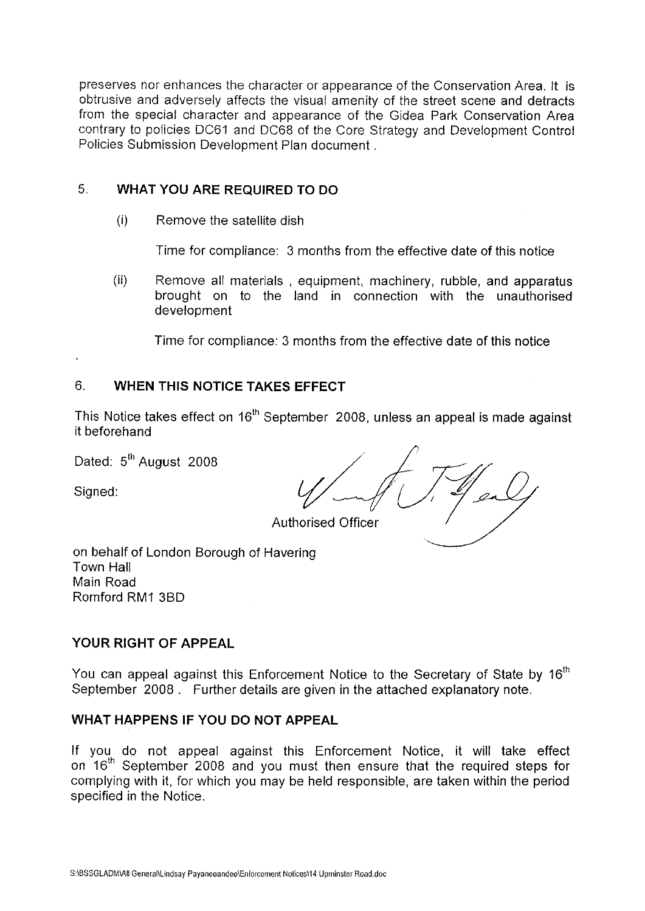preserves nor enhances the character or appearance of the Conservation Area. It is obtrusive and adversely affects the visual amenity of the street scene and detracts from the special character and appearance of the Gidea Park Conservation Area contrary to policies DC61 and DC68 of the Core Strategy and Development Control Policies Submission Development Plan document .

### 5. **WHAT YOU ARE REQUIRED TO DO**

(i) Remove the satellite dish

Time for compliance: 3 months from the effective date of this notice

(ii) Remove all materials , equipment, machinery, rubble, and apparatus brought on to the land in connection with the unauthorised development

Time for compliance: 3 months from the effective date of this notice

#### 6. **WHEN THIS NOTICE TAKES EFFECT**

This Notice takes effect on 16<sup>th</sup> September 2008, unless an appeal is made against it beforehand

Dated: 5<sup>th</sup> August 2008

Dated:  $5^{\text{th}}$  August 2008<br>Signed: Authorised Officer<br>Authorised Officer

Authorised Officer<br>on behalf of London Borough of Havering Town Hall Main Road Romford RM1 3BD

### **YOUR RIGHT OF APPEAL**

You can appeal against this Enforcement Notice to the Secretary of State by  $16<sup>th</sup>$ September 2008 . Further details are given in the attached explanatory note.

### **WHAT HAPPENS IF YOU DO NOT APPEAL**

If you do not appeal against this Enforcement Notice, it will take effect on 16<sup>th</sup> September 2008 and you must then ensure that the required steps for complying with it, for which you may be held responsible, are taken within the period specified in the Notice.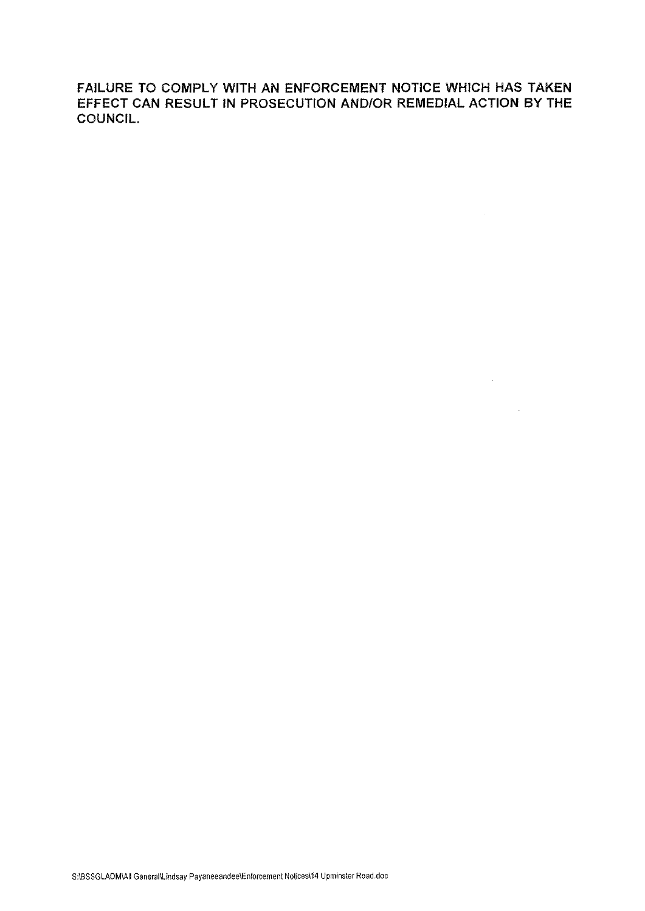FAILURE TO COMPLY WITH AN ENFORCEMENT NOTICE WHICH HAS TAKEN EFFECT CAN RESULT IN PROSECUTION AND/OR REMEDIAL ACTION BY THE COUNCIL.

 $\mathcal{L}^{\text{max}}_{\text{max}}$  ,  $\mathcal{L}^{\text{max}}_{\text{max}}$ 

 $\mathcal{L}^{\text{max}}_{\text{max}}$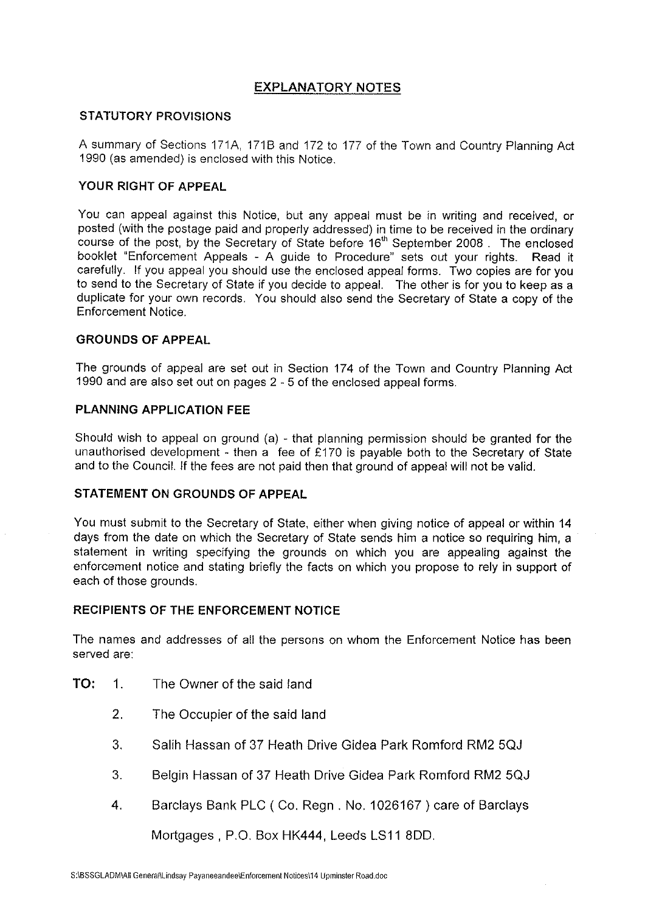#### **EXPLANATORY NOTES**

#### **STATUTORY PROVISIONS**

A summary of Sections 171A, 171B and 172 to 177 of the Town and Country Planning Act 1990 (as amended) is enclosed with this Notice.

#### **YOUR RIGHT OF APPEAL**

You can appeal against this Notice, but any appeal must be in writing and received, or posted (with the postage paid and properly addressed) in time to be received in the ordinary course of the post, by the Secretary of State before 16<sup>th</sup> September 2008 . The enclosed booklet "Enforcement Appeals - A guide to Procedure" sets out your rights. Read it carefully. If you appeal you should use the enclosed appeal forms. Two copies are for you to send to the Secretary of State if you decide to appeal. The other is for you to keep as a duplicate for your own records. You should also send the Secretary of State a copy of the Enforcement Notice.

#### **GROUNDS OF APPEAL**

The grounds of appeal are set out in Section 174 of the Town and Country Planning Act 1990 and are also set out on pages 2 - 5 of the enclosed appeal forms.

#### **PLANNING APPLICATION FEE**

Should wish to appeal on ground (a) - that planning permission should be granted for the unauthorised development - then a fee of £170 is payable both to the Secretary of State and to the Council. If the fees are not paid then that ground of appeal will not be valid.

#### **STATEMENT ON GROUNDS OF APPEAL**

You must submit to the Secretary of State, either when giving notice of appeal or within 14 days from the date on which the Secretary of State sends him a notice so requiring him, a statement in writing specifying the grounds on which you are appealing against the enforcement notice and stating briefly the facts on which you propose to rely in support of each of those grounds.

#### **RECIPIENTS OF THE ENFORCEMENT NOTICE**

The names and addresses of all the persons on whom the Enforcement Notice has been served are:

- **TO:** 1. The Owner of the said land
	- 2. The Occupier of the said land
	- 3. Salih Hassan of 37 Heath Drive Gidea Park Romford RM2 5QJ
	- 3. Belgin Hassan of 37 Heath Drive Gidea Park Romford RM2 5QJ
	- 4. Barclays Bank PLC (Co.Regn. No. 1026167) care of Barclays

Mortgages , P.O. Box HK444, Leeds LS11 800.